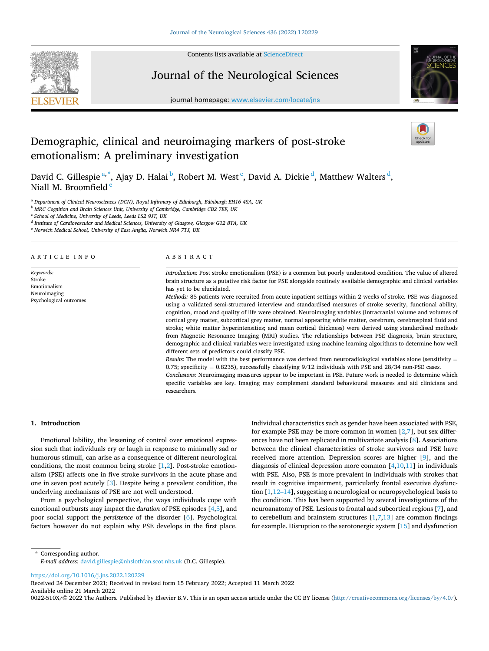

Contents lists available at [ScienceDirect](www.sciencedirect.com/science/journal/0022510X)

## Journal of the Neurological Sciences

journal homepage: [www.elsevier.com/locate/jns](https://www.elsevier.com/locate/jns) 



# Demographic, clinical and neuroimaging markers of post-stroke emotionalism: A preliminary investigation

David C. Gillespie <sup>a, \*</sup>, Ajay D. Halai <sup>b</sup>, Robert M. West <sup>c</sup>, David A. Dickie <sup>d</sup>, Matthew Walters <sup>d</sup>, Niall M. Broomfield

<sup>a</sup> *Department of Clinical Neurosciences (DCN), Royal Infirmary of Edinburgh, Edinburgh EH16 4SA, UK* 

<sup>b</sup> *MRC Cognition and Brain Sciences Unit, University of Cambridge, Cambridge CB2 7EF, UK* 

<sup>c</sup> *School of Medicine, University of Leeds, Leeds LS2 9JT, UK* 

<sup>d</sup> *Institute of Cardiovascular and Medical Sciences, University of Glasgow, Glasgow G12 8TA, UK* 

<sup>e</sup> *Norwich Medical School, University of East Anglia, Norwich NR4 7TJ, UK* 

#### ARTICLE INFO

*Keywords:*  Stroke Emotionalism Neuroimaging Psychological outcomes

#### ABSTRACT

researchers.

*Introduction:* Post stroke emotionalism (PSE) is a common but poorly understood condition. The value of altered brain structure as a putative risk factor for PSE alongside routinely available demographic and clinical variables has yet to be elucidated.

*Methods:* 85 patients were recruited from acute inpatient settings within 2 weeks of stroke. PSE was diagnosed using a validated semi-structured interview and standardised measures of stroke severity, functional ability, cognition, mood and quality of life were obtained. Neuroimaging variables (intracranial volume and volumes of cortical grey matter, subcortical grey matter, normal appearing white matter, cerebrum, cerebrospinal fluid and stroke; white matter hyperintensities; and mean cortical thickness) were derived using standardised methods from Magnetic Resonance Imaging (MRI) studies. The relationships between PSE diagnosis, brain structure, demographic and clinical variables were investigated using machine learning algorithms to determine how well different sets of predictors could classify PSE.

*Results:* The model with the best performance was derived from neuroradiological variables alone (sensitivity = 0.75; specificity = 0.8235), successfully classifying  $9/12$  individuals with PSE and 28/34 non-PSE cases. *Conclusions:* Neuroimaging measures appear to be important in PSE. Future work is needed to determine which specific variables are key. Imaging may complement standard behavioural measures and aid clinicians and

### **1. Introduction**

Emotional lability, the lessening of control over emotional expression such that individuals cry or laugh in response to minimally sad or humorous stimuli, can arise as a consequence of different neurological conditions, the most common being stroke  $[1,2]$  $[1,2]$  $[1,2]$  $[1,2]$  $[1,2]$ . Post-stroke emotionalism (PSE) affects one in five stroke survivors in the acute phase and one in seven post acutely [\[3\]](#page-4-0). Despite being a prevalent condition, the underlying mechanisms of PSE are not well understood.

From a psychological perspective, the ways individuals cope with emotional outbursts may impact the *duration* of PSE episodes [[4,5\]](#page-4-0), and poor social support the *persistence* of the disorder [[6](#page-4-0)]. Psychological factors however do not explain why PSE develops in the first place.

Individual characteristics such as gender have been associated with PSE, for example PSE may be more common in women [\[2,7](#page-4-0)], but sex differences have not been replicated in multivariate analysis [\[8\]](#page-4-0). Associations between the clinical characteristics of stroke survivors and PSE have received more attention. Depression scores are higher [[9](#page-4-0)], and the diagnosis of clinical depression more common  $[4,10,11]$  $[4,10,11]$  in individuals with PSE. Also, PSE is more prevalent in individuals with strokes that result in cognitive impairment, particularly frontal executive dysfunction [[1](#page-4-0),12–[14](#page-4-0)], suggesting a neurological or neuropsychological basis to the condition. This has been supported by several investigations of the neuroanatomy of PSE. Lesions to frontal and subcortical regions [[7](#page-4-0)], and to cerebellum and brainstem structures  $[1,7,13]$  are common findings for example. Disruption to the serotonergic system [\[15](#page-4-0)] and dysfunction

\* Corresponding author. *E-mail address:* [david.gillespie@nhslothian.scot.nhs.uk](mailto:david.gillespie@nhslothian.scot.nhs.uk) (D.C. Gillespie).

<https://doi.org/10.1016/j.jns.2022.120229>

Available online 21 March 2022 Received 24 December 2021; Received in revised form 15 February 2022; Accepted 11 March 2022

0022-510X/© 2022 The Authors. Published by Elsevier B.V. This is an open access article under the CC BY license [\(http://creativecommons.org/licenses/by/4.0/\)](http://creativecommons.org/licenses/by/4.0/).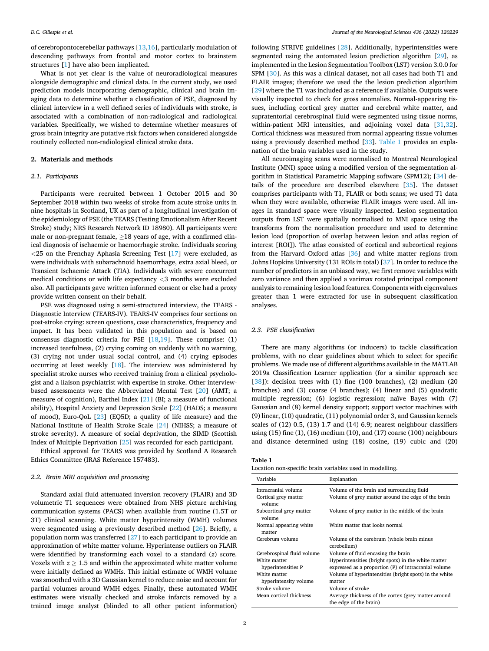of cerebropontocerebellar pathways [[13,16\]](#page-4-0), particularly modulation of descending pathways from frontal and motor cortex to brainstem structures [\[1\]](#page-4-0) have also been implicated.

What is not yet clear is the value of neuroradiological measures alongside demographic and clinical data. In the current study, we used prediction models incorporating demographic, clinical and brain imaging data to determine whether a classification of PSE, diagnosed by clinical interview in a well defined series of individuals with stroke, is associated with a combination of non-radiological and radiological variables. Specifically, we wished to determine whether measures of gross brain integrity are putative risk factors when considered alongside routinely collected non-radiological clinical stroke data.

#### **2. Materials and methods**

#### *2.1. Participants*

Participants were recruited between 1 October 2015 and 30 September 2018 within two weeks of stroke from acute stroke units in nine hospitals in Scotland, UK as part of a longitudinal investigation of the epidemiology of PSE (the TEARS (Testing Emotionalism After Recent Stroke) study; NRS Research Network ID 18980). All participants were male or non-pregnant female,  $\geq$  18 years of age, with a confirmed clinical diagnosis of ischaemic or haemorrhagic stroke. Individuals scoring *<*25 on the Frenchay Aphasia Screening Test [\[17](#page-4-0)] were excluded, as were individuals with subarachnoid haemorrhage, extra axial bleed, or Transient Ischaemic Attack (TIA). Individuals with severe concurrent medical conditions or with life expectancy *<*3 months were excluded also. All participants gave written informed consent or else had a proxy provide written consent on their behalf.

PSE was diagnosed using a semi-structured interview, the TEARS - Diagnostic Interview (TEARS-IV). TEARS-IV comprises four sections on post-stroke crying: screen questions, case characteristics, frequency and impact. It has been validated in this population and is based on consensus diagnostic criteria for PSE [\[18](#page-4-0)[,19](#page-5-0)]. These comprise: (1) increased tearfulness, (2) crying coming on suddenly with no warning, (3) crying not under usual social control, and (4) crying episodes occurring at least weekly [[18\]](#page-4-0). The interview was administered by specialist stroke nurses who received training from a clinical psychologist and a liaison psychiatrist with expertise in stroke. Other interviewbased assessments were the Abbreviated Mental Test [[20\]](#page-5-0) (AMT; a measure of cognition), Barthel Index [\[21](#page-5-0)] (BI; a measure of functional ability), Hospital Anxiety and Depression Scale [\[22](#page-5-0)] (HADS; a measure of mood), Euro-QoL [[23\]](#page-5-0) (EQ5D; a quality of life measure) and the National Institute of Health Stroke Scale [\[24](#page-5-0)] (NIHSS; a measure of stroke severity). A measure of social deprivation, the SIMD (Scottish Index of Multiple Deprivation [[25](#page-5-0)] was recorded for each participant.

Ethical approval for TEARS was provided by Scotland A Research Ethics Committee (IRAS Reference 157483).

## *2.2. Brain MRI acquisition and processing*

Standard axial fluid attenuated inversion recovery (FLAIR) and 3D volumetric T1 sequences were obtained from NHS picture archiving communication systems (PACS) when available from routine (1.5T or 3T) clinical scanning. White matter hyperintensity (WMH) volumes were segmented using a previously described method [\[26\]](#page-5-0). Briefly, a population norm was transferred [[27\]](#page-5-0) to each participant to provide an approximation of white matter volume. Hyperintense outliers on FLAIR were identified by transforming each voxel to a standard (*z*) score. Voxels with  $z \geq 1.5$  and within the approximated white matter volume were initially defined as WMHs. This initial estimate of WMH volume was smoothed with a 3D Gaussian kernel to reduce noise and account for partial volumes around WMH edges. Finally, these automated WMH estimates were visually checked and stroke infarcts removed by a trained image analyst (blinded to all other patient information)

following STRIVE guidelines [[28\]](#page-5-0). Additionally, hyperintensities were segmented using the automated lesion prediction algorithm [\[29](#page-5-0)], as implemented in the Lesion Segmentation Toolbox (LST) version 3.0.0 for SPM [\[30](#page-5-0)]. As this was a clinical dataset, not all cases had both T1 and FLAIR images; therefore we used the the lesion prediction algorthim [[29\]](#page-5-0) where the T1 was included as a reference if available. Outputs were visually inspected to check for gross anomalies. Normal-appearing tissues, including cortical grey matter and cerebral white matter, and supratentorial cerebrospinal fluid were segmented using tissue norms, within-patient MRI intensities, and adjoining voxel data [[31,32](#page-5-0)]. Cortical thickness was measured from normal appearing tissue volumes using a previously described method [[33](#page-5-0)]. Table 1 provides an explanation of the brain variables used in the study.

All neuroimaging scans were normalised to Montreal Neurological Institute (MNI) space using a modified version of the segmentation algorithm in Statistical Parametric Mapping software (SPM12); [[34\]](#page-5-0) details of the procedure are described elsewhere [\[35](#page-5-0)]. The dataset comprises participants with T1, FLAIR or both scans; we used T1 data when they were available, otherwise FLAIR images were used. All images in standard space were visually inspected. Lesion segmentation outputs from LST were spatially normalised to MNI space using the transforms from the normalisation procedure and used to determine lesion load (proportion of overlap between lesion and atlas region of interest [ROI]). The atlas consisted of cortical and subcortical regions from the Harvard–Oxford atlas [\[36](#page-5-0)] and white matter regions from Johns Hopkins University (131 ROIs in total) [[37\]](#page-5-0). In order to reduce the number of predictors in an unbiased way, we first remove variables with zero variance and then applied a varimax rotated principal component analysis to remaining lesion load features. Components with eigenvalues greater than 1 were extracted for use in subsequent classification analyses.

#### *2.3. PSE classification*

There are many algorithms (or inducers) to tackle classification problems, with no clear guidelines about which to select for specific problems. We made use of different algorithms available in the MATLAB 2019a Classification Learner application (for a similar approach see [[38\]](#page-5-0)): decision trees with (1) fine (100 branches), (2) medium (20 branches) and (3) coarse (4 branches); (4) linear and (5) quadratic multiple regression; (6) logistic regression; naïve Bayes with (7) Gaussian and (8) kernel density support; support vector machines with (9) linear, (10) quadratic, (11) polynomial order 3, and Gaussian kernels scales of (12) 0.5, (13) 1.7 and (14) 6.9; nearest neighbour classifiers using (15) fine (1), (16) medium (10), and (17) coarse (100) neighbours and distance determined using (18) cosine, (19) cubic and (20)

**Table 1** 

| Location non-specific brain variables used in modelling. |  |  |
|----------------------------------------------------------|--|--|
|----------------------------------------------------------|--|--|

| Variable                          | Explanation                                                                   |
|-----------------------------------|-------------------------------------------------------------------------------|
| Intracranial volume               | Volume of the brain and surrounding fluid                                     |
| Cortical grey matter<br>volume    | Volume of grey matter around the edge of the brain                            |
| Subcortical grey matter<br>volume | Volume of grey matter in the middle of the brain                              |
| Normal appearing white<br>matter  | White matter that looks normal                                                |
| Cerebrum volume                   | Volume of the cerebrum (whole brain minus<br>cerebellum)                      |
| Cerebrospinal fluid volume        | Volume of fluid encasing the brain                                            |
| White matter                      | Hyperintensities (bright spots) in the white matter                           |
| hyperintensities P                | expressed as a proportion (P) of intracranial volume                          |
| White matter                      | Volume of hyperintensities (bright spots) in the white                        |
| hyperintensity volume             | matter                                                                        |
| Stroke volume                     | Volume of stroke                                                              |
| Mean cortical thickness           | Average thickness of the cortex (grey matter around<br>the edge of the brain) |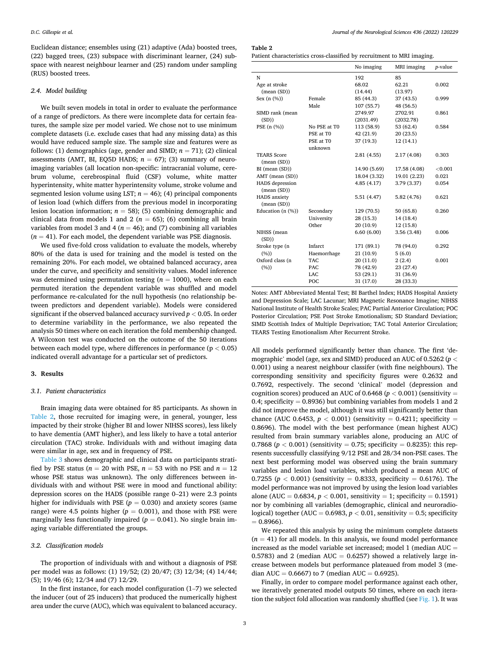Euclidean distance; ensembles using (21) adaptive (Ada) boosted trees, (22) bagged trees, (23) subspace with discriminant learner, (24) subspace with nearest neighbour learner and (25) random under sampling (RUS) boosted trees.

#### *2.4. Model building*

We built seven models in total in order to evaluate the performance of a range of predictors. As there were incomplete data for certain features, the sample size per model varied. We chose not to use minimum complete datasets (i.e. exclude cases that had any missing data) as this would have reduced sample size. The sample size and features were as follows: (1) demographics (age, gender and SIMD;  $n = 71$ ); (2) clinical assessments (AMT, BI, EQ5D HADS;  $n = 67$ ); (3) summary of neuroimaging variables (all location non-specific: intracranial volume, cerebrum volume, cerebrospinal fluid (CSF) volume, white matter hyperintensity, white matter hyperintensity volume, stroke volume and segmented lesion volume using LST;  $n = 46$ ); (4) principal components of lesion load (which differs from the previous model in incorporating lesion location information;  $n = 58$ ); (5) combining demographic and clinical data from models 1 and 2 ( $n = 65$ ); (6) combining all brain variables from model 3 and 4 ( $n = 46$ ); and (7) combining all variables  $(n = 41)$ . For each model, the dependent variable was PSE diagnosis.

We used five-fold cross validation to evaluate the models, whereby 80% of the data is used for training and the model is tested on the remaining 20%. For each model, we obtained balanced accuracy, area under the curve, and specificity and sensitivity values. Model inference was determined using permutation testing  $(n = 1000)$ , where on each permuted iteration the dependent variable was shuffled and model performance re-calculated for the null hypothesis (no relationship between predictors and dependent variable). Models were considered significant if the observed balanced accuracy survived *p <* 0.05. In order to determine variability in the performance, we also repeated the analysis 50 times where on each iteration the fold membership changed. A Wilcoxon test was conducted on the outcome of the 50 iterations between each model type, where differences in performance (p *<* 0.05) indicated overall advantage for a particular set of predictors.

#### **3. Results**

## *3.1. Patient characteristics*

Brain imaging data were obtained for 85 participants. As shown in Table 2, those recruited for imaging were, in general, younger, less impacted by their stroke (higher BI and lower NIHSS scores), less likely to have dementia (AMT higher), and less likely to have a total anterior circulation (TAC) stroke. Individuals with and without imaging data were similar in age, sex and in frequency of PSE.

[Table 3](#page-3-0) shows demographic and clinical data on participants stratified by PSE status ( $n = 20$  with PSE,  $n = 53$  with no PSE and  $n = 12$ whose PSE status was unknown). The only differences between individuals with and without PSE were in mood and functional ability: depression scores on the HADS (possible range 0–21) were 2.3 points higher for individuals with PSE  $(p = 0.030)$  and anxiety scores (same range) were 4.5 points higher  $(p = 0.001)$ , and those with PSE were marginally less functionally impaired  $(p = 0.041)$ . No single brain imaging variable differentiated the groups.

#### *3.2. Classification models*

The proportion of individuals with and without a diagnosis of PSE per model was as follows: (1) 19/52; (2) 20/47; (3) 12/34; (4) 14/44; (5); 19/46 (6); 12/34 and (7) 12/29.

In the first instance, for each model configuration  $(1–7)$  we selected the inducer (out of 25 inducers) that produced the numerically highest area under the curve (AUC), which was equivalent to balanced accuracy.

## **Table 2**

| Patient characteristics cross-classified by recruitment to MRI imaging. |  |  |
|-------------------------------------------------------------------------|--|--|
|-------------------------------------------------------------------------|--|--|

|                        |              | No imaging   | MRI imaging  | <i>p</i> -value |
|------------------------|--------------|--------------|--------------|-----------------|
| N                      |              | 192          | 85           |                 |
| Age at stroke          |              | 68.02        | 62.21        | 0.002           |
| mean(SD))              |              | (14.44)      | (13.97)      |                 |
| Sex $(n \ (\%))$       | Female       | 85 (44.3)    | 37 (43.5)    | 0.999           |
|                        | Male         | 107 (55.7)   | 48 (56.5)    |                 |
| SIMD rank (mean        |              | 2749.97      | 2702.91      | 0.861           |
| (SD))                  |              | (2031.49)    | (2032.78)    |                 |
| PSE (n (%))            | No PSE at T0 | 113 (58.9)   | 53 (62.4)    | 0.584           |
|                        | PSE at TO    | 42 (21.9)    | 20(23.5)     |                 |
|                        | PSE at T0    | 37 (19.3)    | 12 (14.1)    |                 |
|                        | unknown      |              |              |                 |
| <b>TEARS Score</b>     |              | 2.81(4.55)   | 2.17 (4.08)  | 0.303           |
| mean(SD))              |              |              |              |                 |
| BI (mean (SD))         |              | 14.90 (5.69) | 17.58 (4.08) | < 0.001         |
| AMT (mean (SD))        |              | 18.04 (3.32) | 19.01 (2.23) | 0.021           |
| <b>HADS</b> depression |              | 4.85(4.17)   | 3.79 (3.37)  | 0.054           |
| mean(SD))              |              |              |              |                 |
| <b>HADS</b> anxiety    |              | 5.51(4.47)   | 5.82 (4.76)  | 0.621           |
| mean(SD))              |              |              |              |                 |
| Education (n (%))      | Secondary    | 129 (70.5)   | 50 (65.8)    | 0.260           |
|                        | University   | 28(15.3)     | 14 (18.4)    |                 |
|                        | Other        | 20 (10.9)    | 12(15.8)     |                 |
| NIHSS (mean<br>(SD))   |              | 6.60(6.00)   | 3.56 (3.48)  | 0.006           |
| Stroke type (n         | Infarct      | 171 (89.1)   | 78 (94.0)    | 0.292           |
| (%)                    | Haemorrhage  | 21 (10.9)    | 5(6.0)       |                 |
| Oxford class (n        | <b>TAC</b>   | 20(11.0)     | 2(2.4)       | 0.001           |
| $(\%)$                 | PAC          | 78 (42.9)    | 23 (27.4)    |                 |
|                        | LAC          | 53 (29.1)    | 31 (36.9)    |                 |
|                        | POC          | 31 (17.0)    | 28 (33.3)    |                 |

Notes: AMT Abbreviated Mental Test; BI Barthel Index; HADS Hospital Anxiety and Depression Scale; LAC Lacunar; MRI Magnetic Resonance Imagine; NIHSS National Institute of Health Stroke Scales; PAC Partial Anterior Circulation; POC Posterior Circulation; PSE Post Stroke Emotionalism; SD Standard Deviation; SIMD Scottish Index of Multiple Deprivation; TAC Total Anterior Circulation; TEARS Testing Emotionalism After Recurrent Stroke.

All models performed significantly better than chance. The first 'demographic' model (age, sex and SIMD) produced an AUC of 0.5262 (*p <* 0.001) using a nearest neighbour classifer (with fine neighbours). The corresponding sensitivity and specificity figures were 0.2632 and 0.7692, respectively. The second 'clinical' model (depression and cognition scores) produced an AUC of 0.6468 ( $p < 0.001$ ) (sensitivity = 0.4; specificity = 0.8936) but combining variables from models 1 and 2 did not improve the model, although it was still significantly better than chance (AUC 0.6453,  $p < 0.001$ ) (sensitivity = 0.4211; specificity = 0.8696). The model with the best performance (mean highest AUC) resulted from brain summary variables alone, producing an AUC of 0.7868 ( $p < 0.001$ ) (sensitivity = 0.75; specificity = 0.8235): this represents successfully classifying 9/12 PSE and 28/34 non-PSE cases. The next best performing model was observed using the brain summary variables and lesion load variables, which produced a mean AUC of 0.7255 ( $p < 0.001$ ) (sensitivity = 0.8333, specificity = 0.6176). The model performance was not improved by using the lesion load variables alone (AUC =  $0.6834$ ,  $p < 0.001$ , sensitivity = 1; specificity =  $0.1591$ ) nor by combining all variables (demographic, clinical and neuroradiological) together (AUC =  $0.6983$ ,  $p < 0.01$ , sensitivity = 0.5; specificity  $= 0.8966$ .

We repeated this analysis by using the minimum complete datasets  $(n = 41)$  for all models. In this analysis, we found model performance increased as the model variable set increased; model 1 (median AUC  $=$ 0.5783) and 2 (median AUC = 0.6257) showed a relatively large increase between models but performance plateaued from model 3 (median AUC =  $0.6667$ ) to 7 (median AUC =  $0.6925$ ).

Finally, in order to compare model performance against each other, we iteratively generated model outputs 50 times, where on each iteration the subject fold allocation was randomly shuffled (see  $Fig. 1$ ). It was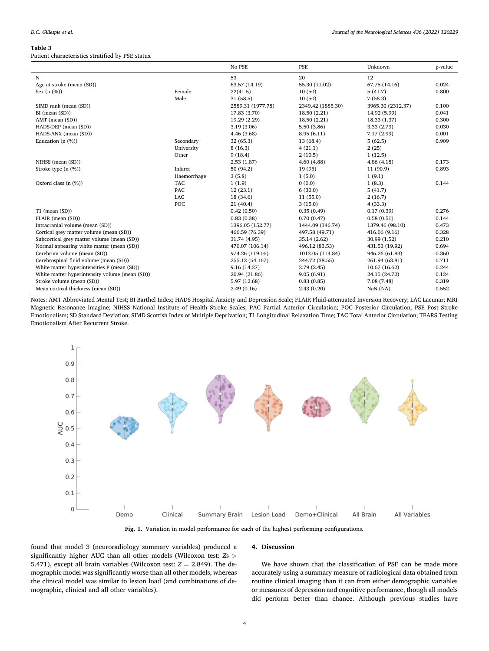#### <span id="page-3-0"></span>**Table 3**

Patient characteristics stratified by PSE status.

|                                                |             | No PSE            | PSE               | Unknown           | p-value |
|------------------------------------------------|-------------|-------------------|-------------------|-------------------|---------|
| N                                              |             | 53                | 20                | 12                |         |
| Age at stroke (mean (SD))                      |             | 63.57 (14.19)     | 55.30 (11.02)     | 67.75 (14.16)     | 0.024   |
| Sex $(n \ (\%))$                               | Female      | 22(41.5)          | 10(50)            | 5(41.7)           | 0.800   |
|                                                | Male        | 31 (58.5)         | 10(50)            | 7(58.3)           |         |
| SIMD rank (mean (SD))                          |             | 2589.31 (1977.78) | 2349.42 (1885.30) | 3965.30 (2312.37) | 0.100   |
| BI (mean (SD))                                 |             | 17.83 (3.70)      | 18.50 (2.21)      | 14.92 (5.99)      | 0.041   |
| AMT (mean (SD))                                |             | 19.29 (2.29)      | 18.50 (2.21)      | 18.33 (1.37)      | 0.300   |
| HADS-DEP (mean (SD))                           |             | 3.19(3.06)        | 5.50 (3.86)       | 3.33(2.73)        | 0.030   |
| HADS-ANX (mean (SD))                           |             | 4.46 (3.68)       | 8.95(6.11)        | 7.17 (2.99)       | 0.001   |
| Education $(n \ (\%))$                         | Secondary   | 32 (65.3)         | 13 (68.4)         | 5(62.5)           | 0.909   |
|                                                | University  | 8(16.3)           | 4(21.1)           | 2(25)             |         |
|                                                | Other       | 9(18.4)           | 2(10.5)           | 1(12.5)           |         |
| NIHSS (mean (SD))                              |             | 2.53(1.87)        | 4.60(4.88)        | 4.86(4.18)        | 0.173   |
| Stroke type (n (%))                            | Infarct     | 50 (94.2)         | 19 (95)           | 11 (90.9)         | 0.893   |
|                                                | Haemorrhage | 3(5.8)            | 1(5.0)            | 1(9.1)            |         |
| Oxford class $(n \ (\%))$                      | <b>TAC</b>  | 1(1.9)            | 0(0.0)            | 1(8.3)            | 0.144   |
|                                                | <b>PAC</b>  | 12(23.1)          | 6(30.0)           | 5(41.7)           |         |
|                                                | LAC         | 18 (34.6)         | 11(55.0)          | 2(16.7)           |         |
|                                                | POC         | 21(40.4)          | 3(15.0)           | 4(33.3)           |         |
| $T1$ (mean $(SD)$ )                            |             | 0.42(0.50)        | 0.35(0.49)        | 0.17(0.39)        | 0.276   |
| FLAIR (mean (SD))                              |             | 0.83(0.38)        | 0.70(0.47)        | 0.58(0.51)        | 0.144   |
| Intracranial volume (mean (SD))                |             | 1396.05 (152.77)  | 1444.09 (146.74)  | 1379.46 (98.10)   | 0.473   |
| Cortical grey matter volume (mean (SD))        |             | 466.59 (76.39)    | 497.58 (49.71)    | 416.06 (9.16)     | 0.328   |
| Subcortical grey matter volume (mean (SD))     |             | 31.74 (4.95)      | 35.14 (2.62)      | 30.99 (1.52)      | 0.210   |
| Normal appearing white matter (mean (SD))      |             | 470.07 (106.14)   | 496.12 (83.53)    | 431.53 (19.92)    | 0.694   |
| Cerebrum volume (mean (SD))                    |             | 974.26 (119.05)   | 1013.05 (114.84)  | 946.26 (61.83)    | 0.360   |
| Cerebrospinal fluid volume (mean (SD))         |             | 255.12 (54.167)   | 244.72 (38.55)    | 261.94 (63.81)    | 0.711   |
| White matter hyperintensities P (mean (SD))    |             | 9.16 (14.27)      | 2.79(2.45)        | 10.67 (16.62)     | 0.244   |
| White matter hyperintensity volume (mean (SD)) |             | 20.94 (21.86)     | 9.05(6.91)        | 24.15 (24.72)     | 0.124   |
| Stroke volume (mean (SD))                      |             | 5.97 (12.68)      | 0.83(0.85)        | 7.08 (7.48)       | 0.319   |
| Mean cortical thickness (mean (SD))            |             | 2.49(0.16)        | 2.43(0.20)        | NaN (NA)          | 0.552   |

Notes: AMT Abbreviated Mental Test; BI Barthel Index; HADS Hospital Anxiety and Depression Scale; FLAIR Fluid-attenuated Inversion Recovery; LAC Lacunar; MRI Magnetic Resonance Imagine; NIHSS National Institute of Health Stroke Scales; PAC Partial Anterior Circulation; POC Posterior Circulation; PSE Post Stroke Emotionalism; SD Standard Deviation; SIMD Scottish Index of Multiple Deprivation; T1 Longitudinal Relaxation Time; TAC Total Anterior Circulation; TEARS Testing Emotionalism After Recurrent Stroke.



**Fig. 1.** Variation in model performance for each of the highest performing configurations.

found that model 3 (neuroradiology summary variables) produced a significantly higher AUC than all other models (Wilcoxon test: *Z*s *>* 5.471), except all brain variables (Wilcoxon test:  $Z = 2.849$ ). The demographic model was significantly worse than all other models, whereas the clinical model was similar to lesion load (and combinations of demographic, clinical and all other variables).

#### **4. Discussion**

We have shown that the classification of PSE can be made more accurately using a summary measure of radiological data obtained from routine clinical imaging than it can from either demographic variables or measures of depression and cognitive performance, though all models did perform better than chance. Although previous studies have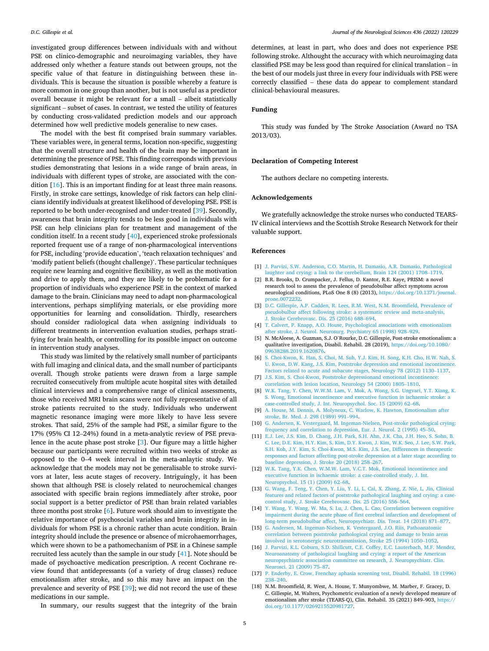<span id="page-4-0"></span>investigated group differences between individuals with and without PSE on clinico-demographic and neuroimaging variables, they have addressed only whether a feature stands out between groups, not the specific value of that feature in distinguishing between these individuals. This is because the situation is possible whereby a feature is more common in one group than another, but is not useful as a predictor overall because it might be relevant for a small – albeit statistically significant – subset of cases. In contrast, we tested the utility of features by conducting cross-validated prediction models and our approach determined how well predictive models generalise to new cases.

The model with the best fit comprised brain summary variables. These variables were, in general terms, location non-specific, suggesting that the overall structure and health of the brain may be important in determining the presence of PSE. This finding corresponds with previous studies demonstrating that lesions in a wide range of brain areas, in individuals with different types of stroke, are associated with the condition [16]. This is an important finding for at least three main reasons. Firstly, in stroke care settings, knowledge of risk factors can help clinicians identify individuals at greatest likelihood of developing PSE. PSE is reported to be both under-recognised and under-treated [\[39](#page-5-0)]. Secondly, awareness that brain integrity tends to be less good in individuals with PSE can help clinicians plan for treatment and management of the condition itself. In a recent study [\[40](#page-5-0)], experienced stroke professionals reported frequent use of a range of non-pharmacological interventions for PSE, including 'provide education', 'teach relaxation techniques' and 'modify patient beliefs (thought challenge)'. These particular techniques require new learning and cognitive flexibility, as well as the motivation and drive to apply them, and they are likely to be problematic for a proportion of individuals who experience PSE in the context of marked damage to the brain. Clinicians may need to adapt non-pharmacological interventions, perhaps simplifying materials, or else providing more opportunities for learning and consolidation. Thirdly, researchers should consider radiological data when assigning individuals to different treatments in intervention evaluation studies, perhaps stratifying for brain health, or controlling for its possible impact on outcome in intervention study analyses.

This study was limited by the relatively small number of participants with full imaging and clinical data, and the small number of participants overall. Though stroke patients were drawn from a large sample recruited consecutively from multiple acute hospital sites with detailed clinical interviews and a comprehensive range of clinical assessments, those who received MRI brain scans were not fully representative of all stroke patients recruited to the study. Individuals who underwent magnetic resonance imaging were more likely to have less severe strokes. That said, 25% of the sample had PSE, a similar figure to the 17% (95% CI 12–24%) found in a meta-analytic review of PSE prevalence in the acute phase post stroke [3]. Our figure may a little higher because our participants were recruited within two weeks of stroke as opposed to the 0–4 week interval in the meta-anlaytic study. We acknowledge that the models may not be generalisable to stroke survivors at later, less acute stages of recovery. Intriguingly, it has been shown that although PSE is closely related to neurochemical changes associated with specific brain regions immediately after stroke, poor social support is a better predictor of PSE than brain related variables three months post stroke [6]. Future work should aim to investigate the relative importance of psychosocial variables and brain integrity in individuals for whom PSE is a chronic rather than acute condition. Brain integrity should include the presence or absence of microhaemorrhages, which were shown to be a pathomechanism of PSE in a Chinese sample recruited less acutely than the sample in our study [\[41](#page-5-0)]. Note should be made of psychoactive medication prescription. A recent Cochrane review found that antidepressants (of a variety of drug classes) reduce emotionalism after stroke, and so this may have an impact on the prevalence and severity of PSE [[39\]](#page-5-0); we did not record the use of these medications in our sample.

determines, at least in part, who does and does not experience PSE following stroke. Althought the accuracy with which neuroimaging data classified PSE may be less good than required for clinical translation – in the best of our models just three in every four individuals with PSE were correctly classified – these data do appear to complement standard clinical-behavioural measures.

## **Funding**

This study was funded by The Stroke Association (Award no TSA 2013/03).

### **Declaration of Competing Interest**

The authors declare no competing interests.

## **Acknowledgements**

We gratefully acknowledge the stroke nurses who conducted TEARS-IV clinical interviews and the Scottish Stroke Research Network for their valuable support.

#### **References**

- [1] [J. Parvizi, S.W. Anderson, C.O. Martin, H. Damasio, A.R. Damasio, Pathological](http://refhub.elsevier.com/S0022-510X(22)00091-0/rf0005)  [laughter and crying: a link to the cerebellum, Brain 124 \(2001\) 1708](http://refhub.elsevier.com/S0022-510X(22)00091-0/rf0005)–1719.
- [2] B.R. Brooks, D. Crumpacker, J. Fellus, D. Kantor, R.E. Kaye, PRISM: a novel research tool to assess the prevalence of pseudobulbar affect symptoms across neurological conditions, PLoS One 8 (8) (2013), [https://doi.org/10.1371/journal.](https://doi.org/10.1371/journal.prone.0072232)  [prone.0072232](https://doi.org/10.1371/journal.prone.0072232).
- [3] [D.C. Gillespie, A.P. Cadden, R. Lees, R.M. West, N.M. Broomfield, Prevalence of](http://refhub.elsevier.com/S0022-510X(22)00091-0/rf0015)  [pseudobulbar affect following stroke: a systematic review and meta-analysis,](http://refhub.elsevier.com/S0022-510X(22)00091-0/rf0015)  [J. Stroke Cerebrovasc. Dis. 25 \(2016\) 688](http://refhub.elsevier.com/S0022-510X(22)00091-0/rf0015)–694.
- [4] [T. Calvert, P. Knapp, A.O. House, Psychological associations with emotionalism](http://refhub.elsevier.com/S0022-510X(22)00091-0/rf0020)  [after stroke, J. Neurol. Neurosurg. Psychiatry 65 \(1998\) 928](http://refhub.elsevier.com/S0022-510X(22)00091-0/rf0020)–929.
- [5] N. McAleese, A. Guzman, S.J. O'Rourke, D.C. Gillespie, Post-stroke emotionalism: a qualitative investigation, Disabil. Rehabil. 28 (2019), [https://doi.org/10.1080/](https://doi.org/10.1080/09638288.2019.1620876)  [09638288.2019.1620876.](https://doi.org/10.1080/09638288.2019.1620876)
- [6] [S. Choi-Kwon, K. Han, S. Choi, M. Suh, Y.J. Kim, H. Song, K.H. Cho, H.W. Nah, S.](http://refhub.elsevier.com/S0022-510X(22)00091-0/rf0030)  [U. Kwon, D.W. Kang, J.S. Kim, Poststroke depression and emotional incontinence.](http://refhub.elsevier.com/S0022-510X(22)00091-0/rf0030)  [Factors related to acute and subacute stages, Neurology 78 \(2012\) 1130](http://refhub.elsevier.com/S0022-510X(22)00091-0/rf0030)–1137.
- [7] [J.S. Kim, S. Choi-Kwon, Poststroke depressionand emotional incontinence:](http://refhub.elsevier.com/S0022-510X(22)00091-0/rf0035)  [correlation with lesion location, Neurology 54 \(2000\) 1805](http://refhub.elsevier.com/S0022-510X(22)00091-0/rf0035)–1810.
- [8] [W.K. Tang, Y. Chen, W.W.M. Lam, V. Mok, A. Wong, S.G. Ungvari, Y.T. Xiang, K.](http://refhub.elsevier.com/S0022-510X(22)00091-0/rf0040)  [S. Wong, Emotional incontinence and executive function in ischaemic stroke: a](http://refhub.elsevier.com/S0022-510X(22)00091-0/rf0040)  [case-controlled study, J. Int. Neuropsychol. Soc. 15 \(2009\) 62](http://refhub.elsevier.com/S0022-510X(22)00091-0/rf0040)–68.
- [9] [A. House, M. Dennis, A. Molyneux, C. Warlow, K. Hawton, Emotionalism after](http://refhub.elsevier.com/S0022-510X(22)00091-0/rf0045) [stroke, Br. Med. J. 298 \(1989\) 991](http://refhub.elsevier.com/S0022-510X(22)00091-0/rf0045)–994.
- [10] [G. Andersen, K. Vestergaard, M. Ingeman-Nielsen, Post-stroke pathological crying:](http://refhub.elsevier.com/S0022-510X(22)00091-0/rf0050)  [frequency and correlation to depression, Eur. J. Neurol. 2 \(1995\) 45](http://refhub.elsevier.com/S0022-510X(22)00091-0/rf0050)–50.
- [11] [E.J. Lee, J.S. Kim, D. Chang, J.H. Park, S.H. Ahn, J.K. Cha, J.H. Heo, S. Sohn, B.](http://refhub.elsevier.com/S0022-510X(22)00091-0/rf0055)  [C. Lee, D.E. Kim, H.Y. Kim, S. Kim, D.Y. Kwon, J. Kim, W.K. Seo, J. Lee, S.W. Park,](http://refhub.elsevier.com/S0022-510X(22)00091-0/rf0055)  [S.H. Koh, J.Y. Kim, S. Choi-Kwon, M.S. Kim, J.S. Lee, Differences in therapeutic](http://refhub.elsevier.com/S0022-510X(22)00091-0/rf0055)  [responses and factors affecting post-stroke depression at a later stage according to](http://refhub.elsevier.com/S0022-510X(22)00091-0/rf0055)  [baseline depression, J. Stroke 20 \(2018\) 258](http://refhub.elsevier.com/S0022-510X(22)00091-0/rf0055)–267.
- [12] [W.K. Tang, Y.K. Chen, W.M.W. Lam, V.C.T. Mok, Emotional incontinence and](http://refhub.elsevier.com/S0022-510X(22)00091-0/rf0060) [executive function in ischaemic stroke: a case-controlled study, J. Int.](http://refhub.elsevier.com/S0022-510X(22)00091-0/rf0060) [Neuropsychol. 15 \(1\) \(2009\) 62](http://refhub.elsevier.com/S0022-510X(22)00091-0/rf0060)–68.
- [13] [G. Wang, F. Teng, Y. Chen, Y. Liu, Y. Li, L. Cai, X. Zhang, Z. Nie, L. Jin, Clinical](http://refhub.elsevier.com/S0022-510X(22)00091-0/rf0065) [features and related factors of poststroke pathological laughing and crying: a case](http://refhub.elsevier.com/S0022-510X(22)00091-0/rf0065)[control study, J. Stroke Cerebrovasc. Dis. 25 \(2016\) 556](http://refhub.elsevier.com/S0022-510X(22)00091-0/rf0065)–564.
- [14] [Y. Wang, Y. Wang, W. Ma, S. Lu, J. Chen, L. Cao, Correlation between cognitive](http://refhub.elsevier.com/S0022-510X(22)00091-0/rf0070)  [impairment during the acute phase of first cerebral infarction and development of](http://refhub.elsevier.com/S0022-510X(22)00091-0/rf0070)  [long-term pseudobulbar affect, Neuropsychiatr. Dis. Treat. 14 \(2018\) 871](http://refhub.elsevier.com/S0022-510X(22)00091-0/rf0070)–877.
- [15] [G. Andersen, M. Ingeman-Nielsen, K. Vestergaard, J.O. Riis, Pathoanatomic](http://refhub.elsevier.com/S0022-510X(22)00091-0/rf0075) [correlation between poststroke pathological crying and damage to brain areas](http://refhub.elsevier.com/S0022-510X(22)00091-0/rf0075)  [involved in serotonergic neurotransmission, Stroke 25 \(1994\) 1050](http://refhub.elsevier.com/S0022-510X(22)00091-0/rf0075)–1052.
- [16] [J. Parvizi, K.L. Coburn, S.D. Shillcutt, C.E. Coffey, E.C. Lauterbach, M.F. Mendez,](http://refhub.elsevier.com/S0022-510X(22)00091-0/rf0080) [Neuroanatomy of pathological laughing and crying: a report of the American](http://refhub.elsevier.com/S0022-510X(22)00091-0/rf0080) [neuropsychiatric association committee on research, J. Neuropsychiatr. Clin.](http://refhub.elsevier.com/S0022-510X(22)00091-0/rf0080)  [Neurosci. 21 \(2009\) 75](http://refhub.elsevier.com/S0022-510X(22)00091-0/rf0080)–87.
- [17] [P. Enderby, E. Crow, Frenchay aphasia screening test, Disabil. Rehabil. 18 \(1996\)](http://refhub.elsevier.com/S0022-510X(22)00091-0/rf0085)  238–[240.](http://refhub.elsevier.com/S0022-510X(22)00091-0/rf0085)
- [18] N.M. Broomfield, R. West, A. House, T. Munyombwe, M. Marber, F. Gracey, D. C. Gillespie, M. Walters, Psychometric evaluation of a newly developed measure of emotionalism after stroke (TEARS-Q), Clin. Rehabil. 35 (2021) 849–903, [https://](https://doi.org/10.1177/0269215520981727)  [doi.org/10.1177/0269215520981727](https://doi.org/10.1177/0269215520981727).

In summary, our results suggest that the integrity of the brain